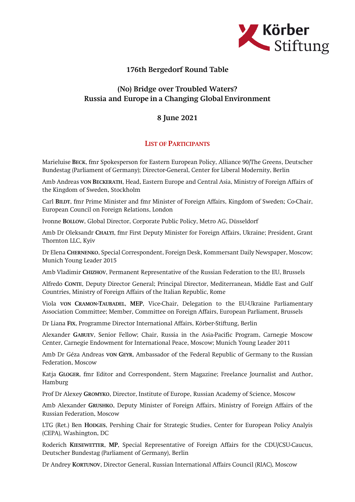

## 176th Bergedorf Round Table

## (No) Bridge over Troubled Waters? Russia and Europe in a Changing Global Environment

## 8 June 2021

## LIST OF PARTICIPANTS

Marieluise BECK, fmr Spokesperson for Eastern European Policy, Alliance 90/The Greens, Deutscher Bundestag (Parliament of Germany); Director-General, Center for Liberal Modernity, Berlin

Amb Andreas VON BECKERATH, Head, Eastern Europe and Central Asia, Ministry of Foreign Affairs of the Kingdom of Sweden, Stockholm

Carl BILDT, fmr Prime Minister and fmr Minister of Foreign Affairs, Kingdom of Sweden; Co-Chair, European Council on Foreign Relations, London

Ivonne BOLLOW, Global Director, Corporate Public Policy, Metro AG, Düsseldorf

Amb Dr Oleksandr CHALYI, fmr First Deputy Minister for Foreign Affairs, Ukraine; President, Grant Thornton LLC, Kyiv

Dr Elena CHERNENKO, Special Correspondent, Foreign Desk, Kommersant Daily Newspaper, Moscow; Munich Young Leader 2015

Amb Vladimir CHIZHOV, Permanent Representative of the Russian Federation to the EU, Brussels

Alfredo CONTE, Deputy Director General; Principal Director, Mediterranean, Middle East and Gulf Countries, Ministry of Foreign Affairs of the Italian Republic, Rome

Viola VON CRAMON-TAUBADEL, MEP, Vice-Chair, Delegation to the EU-Ukraine Parliamentary Association Committee; Member, Committee on Foreign Affairs, European Parliament, Brussels

Dr Liana FIX, Programme Director International Affairs, Körber-Stiftung, Berlin

Alexander GABUEV, Senior Fellow; Chair, Russia in the Asia-Pacific Program, Carnegie Moscow Center, Carnegie Endowment for International Peace, Moscow; Munich Young Leader 2011

Amb Dr Géza Andreas VON GEYR, Ambassador of the Federal Republic of Germany to the Russian Federation, Moscow

Katja GLOGER, fmr Editor and Correspondent, Stern Magazine; Freelance Journalist and Author, Hamburg

Prof Dr Alexey GROMYKO, Director, Institute of Europe, Russian Academy of Science, Moscow

Amb Alexander GRUSHKO, Deputy Minister of Foreign Affairs, Ministry of Foreign Affairs of the Russian Federation, Moscow

LTG (Ret.) Ben HODGES, Pershing Chair for Strategic Studies, Center for European Policy Analyis (CEPA), Washington, DC

Roderich KIESEWETTER, MP, Special Representative of Foreign Affairs for the CDU/CSU-Caucus, Deutscher Bundestag (Parliament of Germany), Berlin

Dr Andrey KORTUNOV, Director General, Russian International Affairs Council (RIAC), Moscow